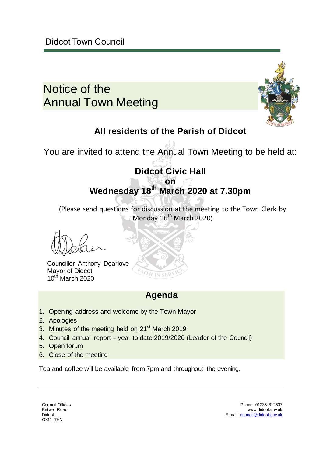# Notice of the Annual Town Meeting



## **All residents of the Parish of Didcot**

You are invited to attend the Annual Town Meeting to be held at:

# **Didcot Civic Hall**

## **on Wednesday 18th March 2020 at 7.30pm**

(Please send questions for discussion at the meeting to the Town Clerk by Monday 16<sup>th</sup> March 2020)

Councillor Anthony Dearlove Mayor of Didcot 10<sup>th</sup> March 2020

## **Agenda**

SER

- 1. Opening address and welcome by the Town Mayor
- 2. Apologies
- 3. Minutes of the meeting held on 21<sup>st</sup> March 2019
- 4. Council annual report year to date 2019/2020 (Leader of the Council)
- 5. Open forum
- 6. Close of the meeting

Tea and coffee will be available from 7pm and throughout the evening.

Britwell Road Didcot OX11 7HN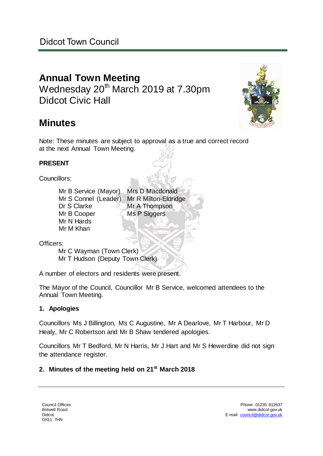# **Annual Town Meeting**

Wednesday 20<sup>th</sup> March 2019 at 7.30pm Didcot Civic Hall

## **Minutes**

Note: These minutes are subject to approval as a true and correct record at the next Annual Town Meeting.

## **PRESENT**

Councillors:

Mr B Service (Mayor) Mr S Connel (Leader) Dr S Clarke Mr B Cooper Mr N Hards Mr M Khan Mrs D Macdonald Mr R Milton-Eldridge Mr A Thompson Ms P Siggers

Officers:

Mr C Wayman (Town Clerk) Mr T Hudson (Deputy Town Clerk)

A number of electors and residents were present.

The Mayor of the Council, Councillor Mr B Service, welcomed attendees to the Annual Town Meeting.

## **1. Apologies**

Councillors Ms J Billington, Ms C Augustine, Mr A Dearlove, Mr T Harbour, Mr D Healy, Mr C Robertson and Mr B Shaw tendered apologies.

Councillors Mr T Bedford, Mr N Harris, Mr J Hart and Mr S Hewerdine did not sign the attendance register.

## **2. Minutes of the meeting held on 21st March 2018**

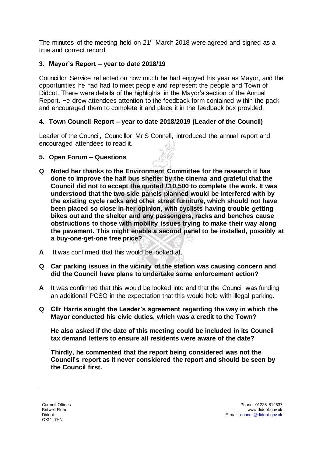The minutes of the meeting held on 21<sup>st</sup> March 2018 were agreed and signed as a true and correct record.

## **3. Mayor's Report – year to date 2018/19**

Councillor Service reflected on how much he had enjoyed his year as Mayor, and the opportunities he had had to meet people and represent the people and Town of Didcot. There were details of the highlights in the Mayor's section of the Annual Report. He drew attendees attention to the feedback form contained within the pack and encouraged them to complete it and place it in the feedback box provided.

## **4. Town Council Report – year to date 2018/2019 (Leader of the Council)**

Leader of the Council, Councillor Mr S Connell, introduced the annual report and encouraged attendees to read it.

#### **5. Open Forum – Questions**

- **Q Noted her thanks to the Environment Committee for the research it has done to improve the half bus shelter by the cinema and grateful that the Council did not to accept the quoted £10,500 to complete the work. It was understood that the two side panels planned would be interfered with by the existing cycle racks and other street furniture, which should not have been placed so close in her opinion, with cyclists having trouble getting bikes out and the shelter and any passengers, racks and benches cause obstructions to those with mobility issues trying to make their way along the pavement. This might enable a second panel to be installed, possibly at a buy-one-get-one free price?**
- **A** It was confirmed that this would be looked at.
- **Q Car parking issues in the vicinity of the station was causing concern and did the Council have plans to undertake some enforcement action?**
- **A** It was confirmed that this would be looked into and that the Council was funding an additional PCSO in the expectation that this would help with illegal parking.
- **Q Cllr Harris sought the Leader's agreement regarding the way in which the Mayor conducted his civic duties, which was a credit to the Town?**

**He also asked if the date of this meeting could be included in its Council tax demand letters to ensure all residents were aware of the date?**

**Thirdly, he commented that the report being considered was not the Council's report as it never considered the report and should be seen by the Council first.**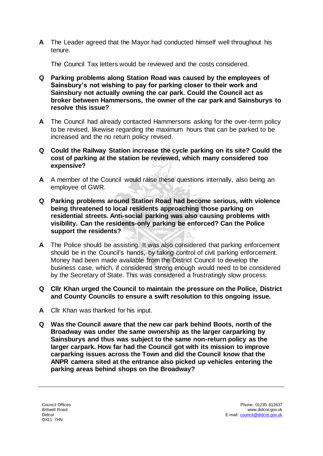**A** The Leader agreed that the Mayor had conducted himself well throughout his tenure.

The Council Tax letters would be reviewed and the costs considered.

- **Q Parking problems along Station Road was caused by the employees of Sainsbury's not wishing to pay for parking closer to their work and Sainsbury not actually owning the car park. Could the Council act as broker between Hammersons, the owner of the car park and Sainsburys to resolve this issue?**
- **A** The Council had already contacted Hammersons asking for the over-term policy to be revised, likewise regarding the maximum hours that can be parked to be increased and the no return policy revised.
- **Q Could the Railway Station increase the cycle parking on its site? Could the cost of parking at the station be reviewed, which many considered too expensive?**
- **A** A member of the Council would raise these questions internally, also being an employee of GWR.
- **Q Parking problems around Station Road had become serious, with violence being threatened to local residents approaching those parking on residential streets. Anti-social parking was also causing problems with visibility. Can the residents-only parking be enforced? Can the Police support the residents?**
- **A** The Police should be assisting. It was also considered that parking enforcement should be in the Council's hands, by taking control of civil parking enforcement. Money had been made available from the District Council to develop the business case, which, if considered strong enough would need to be considered by the Secretary of State. This was considered a frustratingly slow process.
- **Q Cllr Khan urged the Council to maintain the pressure on the Police, District and County Councils to ensure a swift resolution to this ongoing issue.**
- **A** Cllr Khan was thanked for his input.
- **Q Was the Council aware that the new car park behind Boots, north of the Broadway was under the same ownership as the larger carparking by Sainsburys and thus was subject to the same non-return policy as the larger carpark. How far had the Council got with its mission to improve carparking issues across the Town and did the Council know that the ANPR camera sited at the entrance also picked up vehicles entering the parking areas behind shops on the Broadway?**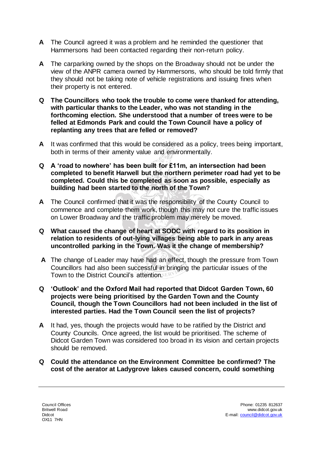- **A** The Council agreed it was a problem and he reminded the questioner that Hammersons had been contacted regarding their non-return policy.
- **A** The carparking owned by the shops on the Broadway should not be under the view of the ANPR camera owned by Hammersons, who should be told firmly that they should not be taking note of vehicle registrations and issuing fines when their property is not entered.
- **Q The Councillors who took the trouble to come were thanked for attending, with particular thanks to the Leader, who was not standing in the forthcoming election. She understood that a number of trees were to be felled at Edmonds Park and could the Town Council have a policy of replanting any trees that are felled or removed?**
- **A** It was confirmed that this would be considered as a policy, trees being important, both in terms of their amenity value and environmentally.
- **Q A 'road to nowhere' has been built for £11m, an intersection had been completed to benefit Harwell but the northern perimeter road had yet to be completed. Could this be completed as soon as possible, especially as building had been started to the north of the Town?**
- **A** The Council confirmed that it was the responsibility of the County Council to commence and complete them work, though this may not cure the traffic issues on Lower Broadway and the traffic problem may merely be moved.
- **Q What caused the change of heart at SODC with regard to its position in relation to residents of out-lying villages being able to park in any areas uncontrolled parking in the Town. Was it the change of membership?**
- **A** The change of Leader may have had an effect, though the pressure from Town Councillors had also been successful in bringing the particular issues of the Town to the District Council's attention.SER
- **Q 'Outlook' and the Oxford Mail had reported that Didcot Garden Town, 60 projects were being prioritised by the Garden Town and the County Council, though the Town Councillors had not been included in the list of interested parties. Had the Town Council seen the list of projects?**
- **A** It had, yes, though the projects would have to be ratified by the District and County Councils. Once agreed, the list would be prioritised. The scheme of Didcot Garden Town was considered too broad in its vision and certain projects should be removed.
- **Q Could the attendance on the Environment Committee be confirmed? The cost of the aerator at Ladygrove lakes caused concern, could something**

Britwell Road Didcot OX11 7HN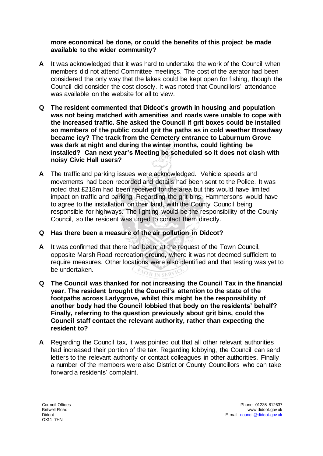#### **more economical be done, or could the benefits of this project be made available to the wider community?**

- **A** It was acknowledged that it was hard to undertake the work of the Council when members did not attend Committee meetings. The cost of the aerator had been considered the only way that the lakes could be kept open for fishing, though the Council did consider the cost closely. It was noted that Councillors' attendance was available on the website for all to view.
- **Q The resident commented that Didcot's growth in housing and population was not being matched with amenities and roads were unable to cope with the increased traffic. She asked the Council if grit boxes could be installed so members of the public could grit the paths as in cold weather Broadway became icy? The track from the Cemetery entrance to Laburnum Grove was dark at night and during the winter months, could lighting be installed? Can next year's Meeting be scheduled so it does not clash with noisy Civic Hall users?**
- **A** The traffic and parking issues were acknowledged. Vehicle speeds and movements had been recorded and details had been sent to the Police. It was noted that £218m had been received for the area but this would have limited impact on traffic and parking. Regarding the grit bins, Hammersons would have to agree to the installation on their land, with the County Council being responsible for highways. The lighting would be the responsibility of the County Council, so the resident was urged to contact them directly.
- **Q Has there been a measure of the air pollution in Didcot?**
- **A** It was confirmed that there had been, at the request of the Town Council, opposite Marsh Road recreation ground, where it was not deemed sufficient to require measures. Other locations were also identified and that testing was yet to be undertaken. **EATTH IN SERVI**
- **Q The Council was thanked for not increasing the Council Tax in the financial year. The resident brought the Council's attention to the state of the footpaths across Ladygrove, whilst this might be the responsibility of another body had the Council lobbied that body on the residents' behalf? Finally, referring to the question previously about grit bins, could the Council staff contact the relevant authority, rather than expecting the resident to?**
- **A** Regarding the Council tax, it was pointed out that all other relevant authorities had increased their portion of the tax. Regarding lobbying, the Council can send letters to the relevant authority or contact colleagues in other authorities. Finally a number of the members were also District or County Councillors who can take forward a residents' complaint.

Britwell Road Didcot OX11 7HN

Council Offices ichard Chapman, Town Clerk Phone: 01235 812637 www.didcot.gov.uk E-mail[: council@didcot.gov.uk](mailto:council@didcot.gov.uk)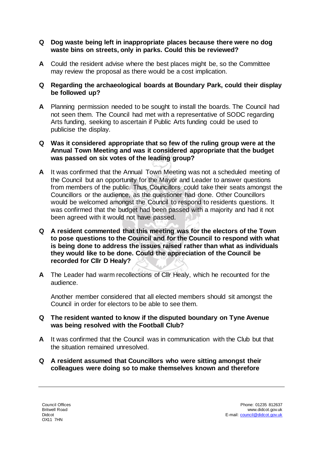#### **Q Dog waste being left in inappropriate places because there were no dog waste bins on streets, only in parks. Could this be reviewed?**

**A** Could the resident advise where the best places might be, so the Committee may review the proposal as there would be a cost implication.

## **Q Regarding the archaeological boards at Boundary Park, could their display be followed up?**

- **A** Planning permission needed to be sought to install the boards. The Council had not seen them. The Council had met with a representative of SODC regarding Arts funding, seeking to ascertain if Public Arts funding could be used to publicise the display.
- **Q Was it considered appropriate that so few of the ruling group were at the Annual Town Meeting and was it considered appropriate that the budget was passed on six votes of the leading group?**
- **A** It was confirmed that the Annual Town Meeting was not a scheduled meeting of the Council but an opportunity for the Mayor and Leader to answer questions from members of the public. Thus Councillors could take their seats amongst the Councillors or the audience, as the questioner had done. Other Councillors would be welcomed amongst the Council to respond to residents questions. It was confirmed that the budget had been passed with a majority and had it not been agreed with it would not have passed.
- **Q A resident commented that this meeting was for the electors of the Town to pose questions to the Council and for the Council to respond with what is being done to address the issues raised rather than what as individuals they would like to be done. Could the appreciation of the Council be recorded for Cllr D Healy?**
- **A** The Leader had warm recollections of Cllr Healy, which he recounted for the audience.

Another member considered that all elected members should sit amongst the Council in order for electors to be able to see them.

## **Q The resident wanted to know if the disputed boundary on Tyne Avenue was being resolved with the Football Club?**

- **A** It was confirmed that the Council was in communication with the Club but that the situation remained unresolved.
- **Q A resident assumed that Councillors who were sitting amongst their colleagues were doing so to make themselves known and therefore**